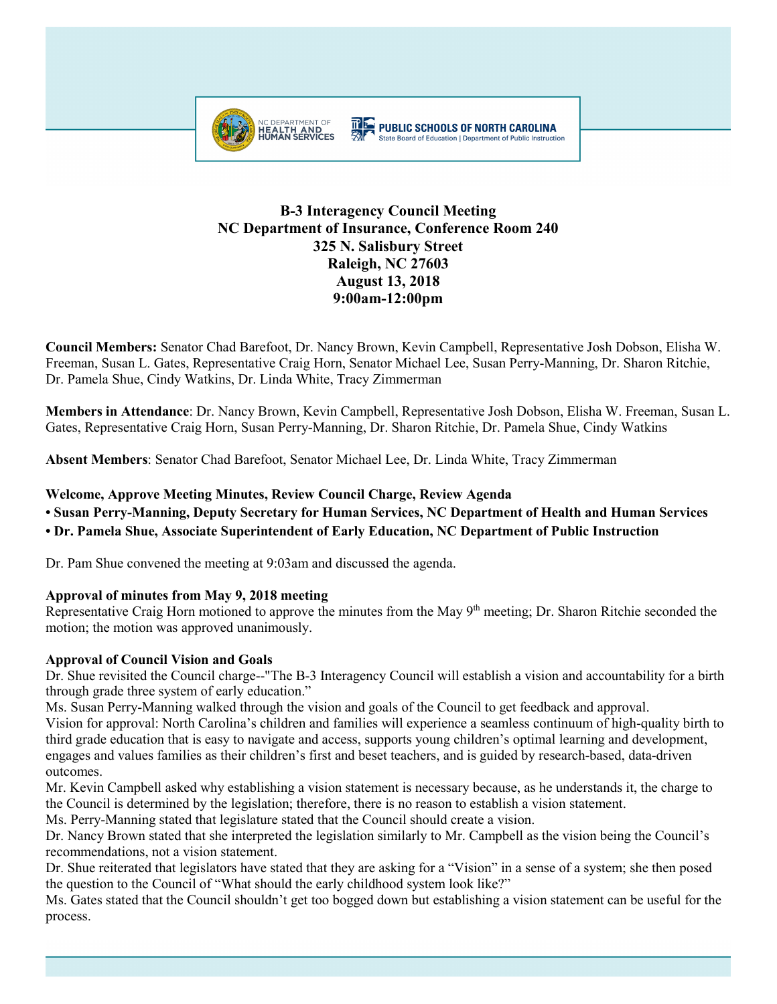

# **B-3 Interagency Council Meeting NC Department of Insurance, Conference Room 240 325 N. Salisbury Street Raleigh, NC 27603 August 13, 2018 9:00am-12:00pm**

**Council Members:** Senator Chad Barefoot, Dr. Nancy Brown, Kevin Campbell, Representative Josh Dobson, Elisha W. Freeman, Susan L. Gates, Representative Craig Horn, Senator Michael Lee, Susan Perry-Manning, Dr. Sharon Ritchie, Dr. Pamela Shue, Cindy Watkins, Dr. Linda White, Tracy Zimmerman

**Members in Attendance**: Dr. Nancy Brown, Kevin Campbell, Representative Josh Dobson, Elisha W. Freeman, Susan L. Gates, Representative Craig Horn, Susan Perry-Manning, Dr. Sharon Ritchie, Dr. Pamela Shue, Cindy Watkins

**Absent Members**: Senator Chad Barefoot, Senator Michael Lee, Dr. Linda White, Tracy Zimmerman

## **Welcome, Approve Meeting Minutes, Review Council Charge, Review Agenda**

**• Susan Perry-Manning, Deputy Secretary for Human Services, NC Department of Health and Human Services** 

**• Dr. Pamela Shue, Associate Superintendent of Early Education, NC Department of Public Instruction**

Dr. Pam Shue convened the meeting at 9:03am and discussed the agenda.

## **Approval of minutes from May 9, 2018 meeting**

Representative Craig Horn motioned to approve the minutes from the May 9<sup>th</sup> meeting; Dr. Sharon Ritchie seconded the motion; the motion was approved unanimously.

# **Approval of Council Vision and Goals**

Dr. Shue revisited the Council charge--"The B-3 Interagency Council will establish a vision and accountability for a birth through grade three system of early education."

Ms. Susan Perry-Manning walked through the vision and goals of the Council to get feedback and approval. Vision for approval: North Carolina's children and families will experience a seamless continuum of high-quality birth to third grade education that is easy to navigate and access, supports young children's optimal learning and development, engages and values families as their children's first and beset teachers, and is guided by research-based, data-driven outcomes.

Mr. Kevin Campbell asked why establishing a vision statement is necessary because, as he understands it, the charge to the Council is determined by the legislation; therefore, there is no reason to establish a vision statement.

Ms. Perry-Manning stated that legislature stated that the Council should create a vision.

Dr. Nancy Brown stated that she interpreted the legislation similarly to Mr. Campbell as the vision being the Council's recommendations, not a vision statement.

Dr. Shue reiterated that legislators have stated that they are asking for a "Vision" in a sense of a system; she then posed the question to the Council of "What should the early childhood system look like?"

Ms. Gates stated that the Council shouldn't get too bogged down but establishing a vision statement can be useful for the process.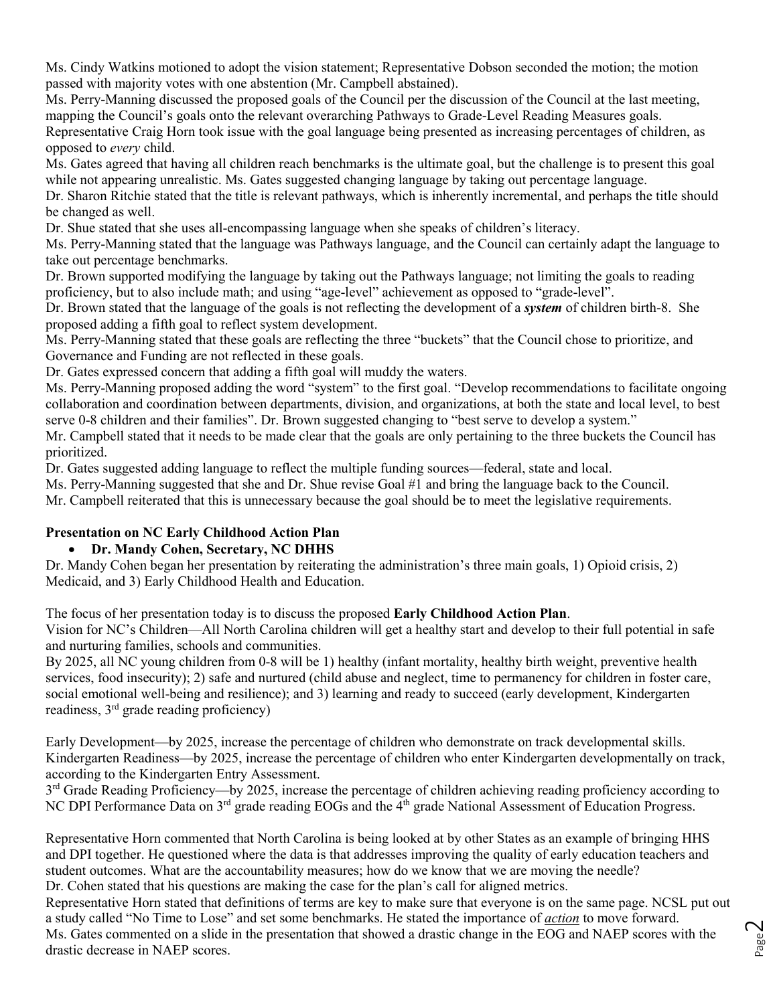Ms. Cindy Watkins motioned to adopt the vision statement; Representative Dobson seconded the motion; the motion passed with majority votes with one abstention (Mr. Campbell abstained).

Ms. Perry-Manning discussed the proposed goals of the Council per the discussion of the Council at the last meeting, mapping the Council's goals onto the relevant overarching Pathways to Grade-Level Reading Measures goals.

Representative Craig Horn took issue with the goal language being presented as increasing percentages of children, as opposed to *every* child.

Ms. Gates agreed that having all children reach benchmarks is the ultimate goal, but the challenge is to present this goal while not appearing unrealistic. Ms. Gates suggested changing language by taking out percentage language.

Dr. Sharon Ritchie stated that the title is relevant pathways, which is inherently incremental, and perhaps the title should be changed as well.

Dr. Shue stated that she uses all-encompassing language when she speaks of children's literacy.

Ms. Perry-Manning stated that the language was Pathways language, and the Council can certainly adapt the language to take out percentage benchmarks.

Dr. Brown supported modifying the language by taking out the Pathways language; not limiting the goals to reading proficiency, but to also include math; and using "age-level" achievement as opposed to "grade-level".

Dr. Brown stated that the language of the goals is not reflecting the development of a *system* of children birth-8. She proposed adding a fifth goal to reflect system development.

Ms. Perry-Manning stated that these goals are reflecting the three "buckets" that the Council chose to prioritize, and Governance and Funding are not reflected in these goals.

Dr. Gates expressed concern that adding a fifth goal will muddy the waters.

Ms. Perry-Manning proposed adding the word "system" to the first goal. "Develop recommendations to facilitate ongoing collaboration and coordination between departments, division, and organizations, at both the state and local level, to best serve 0-8 children and their families". Dr. Brown suggested changing to "best serve to develop a system."

Mr. Campbell stated that it needs to be made clear that the goals are only pertaining to the three buckets the Council has prioritized.

Dr. Gates suggested adding language to reflect the multiple funding sources—federal, state and local.

Ms. Perry-Manning suggested that she and Dr. Shue revise Goal #1 and bring the language back to the Council.

Mr. Campbell reiterated that this is unnecessary because the goal should be to meet the legislative requirements.

# **Presentation on NC Early Childhood Action Plan**

# • **Dr. Mandy Cohen, Secretary, NC DHHS**

Dr. Mandy Cohen began her presentation by reiterating the administration's three main goals, 1) Opioid crisis, 2) Medicaid, and 3) Early Childhood Health and Education.

The focus of her presentation today is to discuss the proposed **Early Childhood Action Plan**.

Vision for NC's Children—All North Carolina children will get a healthy start and develop to their full potential in safe and nurturing families, schools and communities.

By 2025, all NC young children from 0-8 will be 1) healthy (infant mortality, healthy birth weight, preventive health services, food insecurity); 2) safe and nurtured (child abuse and neglect, time to permanency for children in foster care, social emotional well-being and resilience); and 3) learning and ready to succeed (early development, Kindergarten readiness,  $3<sup>rd</sup>$  grade reading proficiency)

Early Development—by 2025, increase the percentage of children who demonstrate on track developmental skills. Kindergarten Readiness—by 2025, increase the percentage of children who enter Kindergarten developmentally on track, according to the Kindergarten Entry Assessment.

3<sup>rd</sup> Grade Reading Proficiency—by 2025, increase the percentage of children achieving reading proficiency according to NC DPI Performance Data on 3<sup>rd</sup> grade reading EOGs and the 4<sup>th</sup> grade National Assessment of Education Progress.

Representative Horn commented that North Carolina is being looked at by other States as an example of bringing HHS and DPI together. He questioned where the data is that addresses improving the quality of early education teachers and student outcomes. What are the accountability measures; how do we know that we are moving the needle? Dr. Cohen stated that his questions are making the case for the plan's call for aligned metrics.

Representative Horn stated that definitions of terms are key to make sure that everyone is on the same page. NCSL put out a study called "No Time to Lose" and set some benchmarks. He stated the importance of *action* to move forward. Ms. Gates commented on a slide in the presentation that showed a drastic change in the EOG and NAEP scores with the drastic decrease in NAEP scores.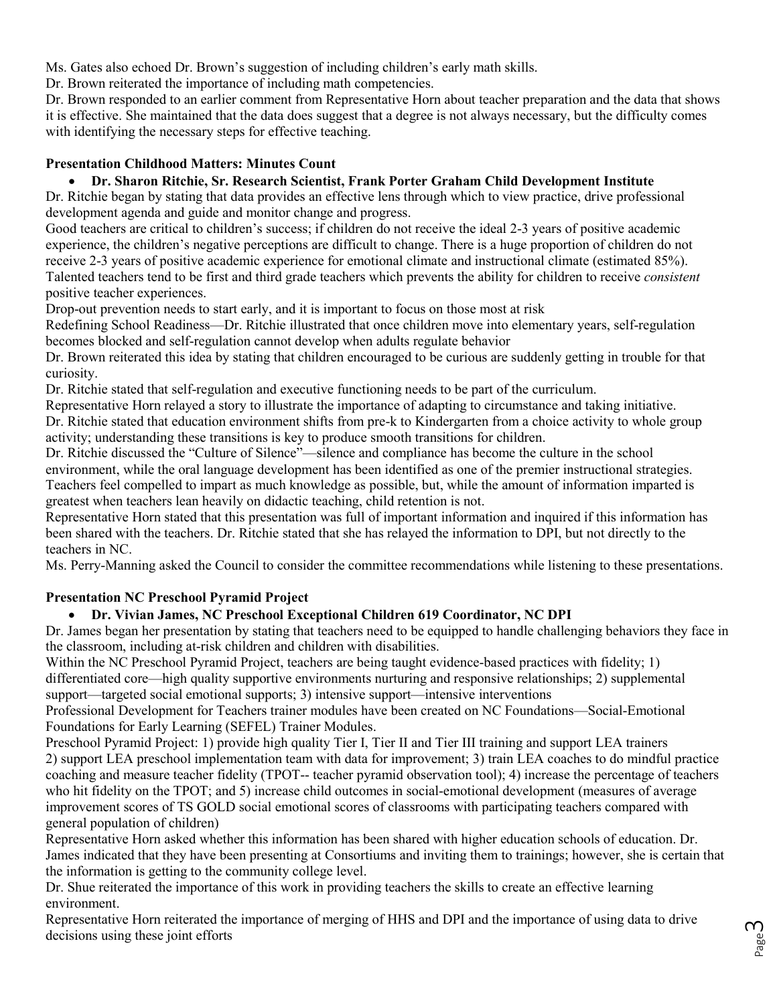Ms. Gates also echoed Dr. Brown's suggestion of including children's early math skills.

Dr. Brown reiterated the importance of including math competencies.

Dr. Brown responded to an earlier comment from Representative Horn about teacher preparation and the data that shows it is effective. She maintained that the data does suggest that a degree is not always necessary, but the difficulty comes with identifying the necessary steps for effective teaching.

# **Presentation Childhood Matters: Minutes Count**

# • **Dr. Sharon Ritchie, Sr. Research Scientist, Frank Porter Graham Child Development Institute**

Dr. Ritchie began by stating that data provides an effective lens through which to view practice, drive professional development agenda and guide and monitor change and progress.

Good teachers are critical to children's success; if children do not receive the ideal 2-3 years of positive academic experience, the children's negative perceptions are difficult to change. There is a huge proportion of children do not receive 2-3 years of positive academic experience for emotional climate and instructional climate (estimated 85%). Talented teachers tend to be first and third grade teachers which prevents the ability for children to receive *consistent*  positive teacher experiences.

Drop-out prevention needs to start early, and it is important to focus on those most at risk

Redefining School Readiness—Dr. Ritchie illustrated that once children move into elementary years, self-regulation becomes blocked and self-regulation cannot develop when adults regulate behavior

Dr. Brown reiterated this idea by stating that children encouraged to be curious are suddenly getting in trouble for that curiosity.

Dr. Ritchie stated that self-regulation and executive functioning needs to be part of the curriculum.

Representative Horn relayed a story to illustrate the importance of adapting to circumstance and taking initiative.

Dr. Ritchie stated that education environment shifts from pre-k to Kindergarten from a choice activity to whole group activity; understanding these transitions is key to produce smooth transitions for children.

Dr. Ritchie discussed the "Culture of Silence"—silence and compliance has become the culture in the school environment, while the oral language development has been identified as one of the premier instructional strategies. Teachers feel compelled to impart as much knowledge as possible, but, while the amount of information imparted is greatest when teachers lean heavily on didactic teaching, child retention is not.

Representative Horn stated that this presentation was full of important information and inquired if this information has been shared with the teachers. Dr. Ritchie stated that she has relayed the information to DPI, but not directly to the teachers in NC.

Ms. Perry-Manning asked the Council to consider the committee recommendations while listening to these presentations.

# **Presentation NC Preschool Pyramid Project**

# • **Dr. Vivian James, NC Preschool Exceptional Children 619 Coordinator, NC DPI**

Dr. James began her presentation by stating that teachers need to be equipped to handle challenging behaviors they face in the classroom, including at-risk children and children with disabilities.

Within the NC Preschool Pyramid Project, teachers are being taught evidence-based practices with fidelity; 1) differentiated core—high quality supportive environments nurturing and responsive relationships; 2) supplemental support—targeted social emotional supports; 3) intensive support—intensive interventions

Professional Development for Teachers trainer modules have been created on NC Foundations—Social-Emotional Foundations for Early Learning (SEFEL) Trainer Modules.

Preschool Pyramid Project: 1) provide high quality Tier I, Tier II and Tier III training and support LEA trainers 2) support LEA preschool implementation team with data for improvement; 3) train LEA coaches to do mindful practice coaching and measure teacher fidelity (TPOT-- teacher pyramid observation tool); 4) increase the percentage of teachers who hit fidelity on the TPOT; and 5) increase child outcomes in social-emotional development (measures of average improvement scores of TS GOLD social emotional scores of classrooms with participating teachers compared with general population of children)

Representative Horn asked whether this information has been shared with higher education schools of education. Dr. James indicated that they have been presenting at Consortiums and inviting them to trainings; however, she is certain that the information is getting to the community college level.

Dr. Shue reiterated the importance of this work in providing teachers the skills to create an effective learning environment.

Representative Horn reiterated the importance of merging of HHS and DPI and the importance of using data to drive decisions using these joint efforts